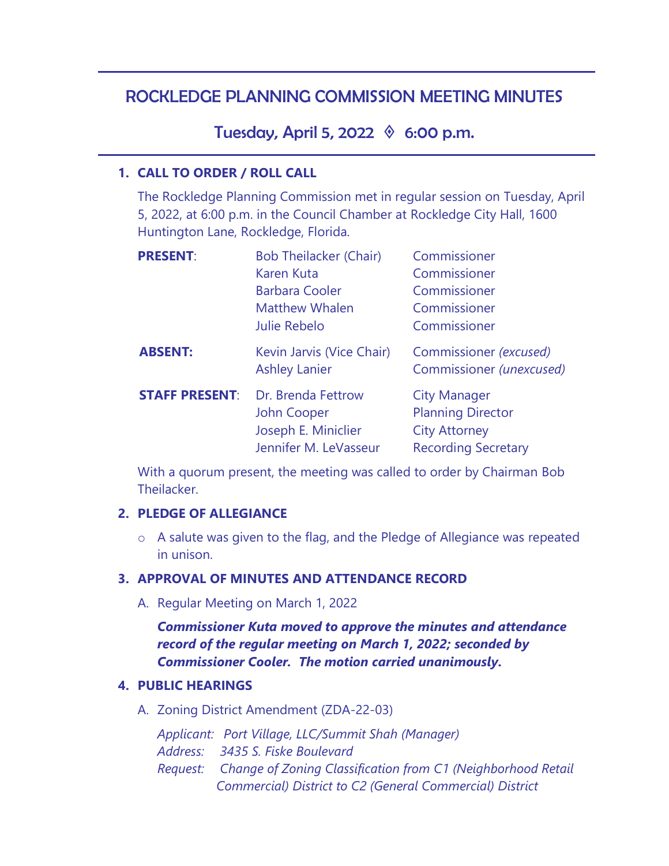# ROCKLEDGE PLANNING COMMISSION MEETING MINUTES

Tuesday, April 5, 2022  $\Diamond$  6:00 p.m.

### **1. CALL TO ORDER / ROLL CALL**

The Rockledge Planning Commission met in regular session on Tuesday, April 5, 2022, at 6:00 p.m. in the Council Chamber at Rockledge City Hall, 1600 Huntington Lane, Rockledge, Florida.

| <b>PRESENT:</b>       | <b>Bob Theilacker (Chair)</b><br><b>Karen Kuta</b><br><b>Barbara Cooler</b><br><b>Matthew Whalen</b><br><b>Julie Rebelo</b> | Commissioner<br>Commissioner<br>Commissioner<br>Commissioner<br>Commissioner                          |
|-----------------------|-----------------------------------------------------------------------------------------------------------------------------|-------------------------------------------------------------------------------------------------------|
| <b>ABSENT:</b>        | Kevin Jarvis (Vice Chair)<br><b>Ashley Lanier</b>                                                                           | Commissioner (excused)<br>Commissioner (unexcused)                                                    |
| <b>STAFF PRESENT:</b> | Dr. Brenda Fettrow<br>John Cooper<br>Joseph E. Miniclier<br>Jennifer M. LeVasseur                                           | <b>City Manager</b><br><b>Planning Director</b><br><b>City Attorney</b><br><b>Recording Secretary</b> |

With a quorum present, the meeting was called to order by Chairman Bob **Theilacker** 

#### **2. PLEDGE OF ALLEGIANCE**

o A salute was given to the flag, and the Pledge of Allegiance was repeated in unison.

### **3. APPROVAL OF MINUTES AND ATTENDANCE RECORD**

A. Regular Meeting on March 1, 2022

*Commissioner Kuta moved to approve the minutes and attendance record of the regular meeting on March 1, 2022; seconded by Commissioner Cooler. The motion carried unanimously.* 

### **4. PUBLIC HEARINGS**

A. Zoning District Amendment (ZDA-22-03)

*Applicant: Port Village, LLC/Summit Shah (Manager)* 

- *Address: 3435 S. Fiske Boulevard*
- *Request: Change of Zoning Classification from C1 (Neighborhood Retail Commercial) District to C2 (General Commercial) District*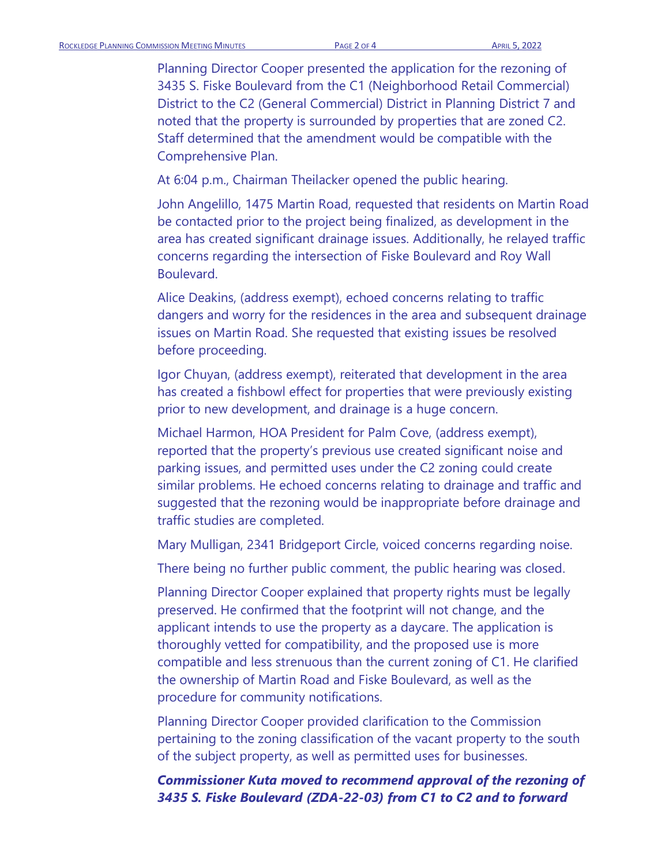Planning Director Cooper presented the application for the rezoning of 3435 S. Fiske Boulevard from the C1 (Neighborhood Retail Commercial) District to the C2 (General Commercial) District in Planning District 7 and noted that the property is surrounded by properties that are zoned C2. Staff determined that the amendment would be compatible with the Comprehensive Plan.

At 6:04 p.m., Chairman Theilacker opened the public hearing.

John Angelillo, 1475 Martin Road, requested that residents on Martin Road be contacted prior to the project being finalized, as development in the area has created significant drainage issues. Additionally, he relayed traffic concerns regarding the intersection of Fiske Boulevard and Roy Wall Boulevard.

Alice Deakins, (address exempt), echoed concerns relating to traffic dangers and worry for the residences in the area and subsequent drainage issues on Martin Road. She requested that existing issues be resolved before proceeding.

Igor Chuyan, (address exempt), reiterated that development in the area has created a fishbowl effect for properties that were previously existing prior to new development, and drainage is a huge concern.

Michael Harmon, HOA President for Palm Cove, (address exempt), reported that the property's previous use created significant noise and parking issues, and permitted uses under the C2 zoning could create similar problems. He echoed concerns relating to drainage and traffic and suggested that the rezoning would be inappropriate before drainage and traffic studies are completed.

Mary Mulligan, 2341 Bridgeport Circle, voiced concerns regarding noise.

There being no further public comment, the public hearing was closed.

Planning Director Cooper explained that property rights must be legally preserved. He confirmed that the footprint will not change, and the applicant intends to use the property as a daycare. The application is thoroughly vetted for compatibility, and the proposed use is more compatible and less strenuous than the current zoning of C1. He clarified the ownership of Martin Road and Fiske Boulevard, as well as the procedure for community notifications.

Planning Director Cooper provided clarification to the Commission pertaining to the zoning classification of the vacant property to the south of the subject property, as well as permitted uses for businesses.

### *Commissioner Kuta moved to recommend approval of the rezoning of 3435 S. Fiske Boulevard (ZDA-22-03) from C1 to C2 and to forward*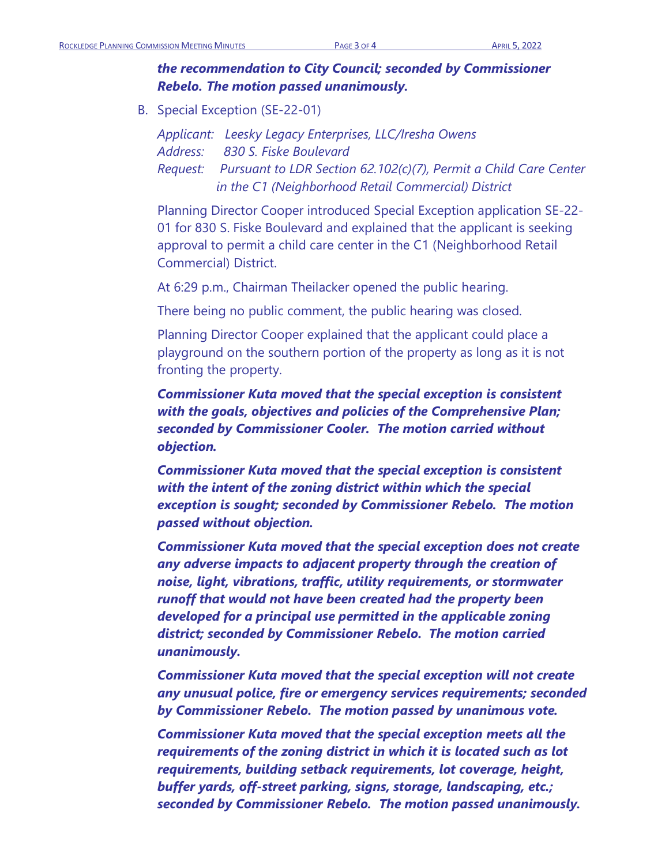# *the recommendation to City Council; seconded by Commissioner Rebelo. The motion passed unanimously.*

B. Special Exception (SE-22-01)

*Applicant: Leesky Legacy Enterprises, LLC/Iresha Owens Address: 830 S. Fiske Boulevard Request: Pursuant to LDR Section 62.102(c)(7), Permit a Child Care Center in the C1 (Neighborhood Retail Commercial) District*

Planning Director Cooper introduced Special Exception application SE-22- 01 for 830 S. Fiske Boulevard and explained that the applicant is seeking approval to permit a child care center in the C1 (Neighborhood Retail Commercial) District.

At 6:29 p.m., Chairman Theilacker opened the public hearing.

There being no public comment, the public hearing was closed.

Planning Director Cooper explained that the applicant could place a playground on the southern portion of the property as long as it is not fronting the property.

*Commissioner Kuta moved that the special exception is consistent with the goals, objectives and policies of the Comprehensive Plan; seconded by Commissioner Cooler. The motion carried without objection.* 

*Commissioner Kuta moved that the special exception is consistent with the intent of the zoning district within which the special exception is sought; seconded by Commissioner Rebelo. The motion passed without objection.*

*Commissioner Kuta moved that the special exception does not create any adverse impacts to adjacent property through the creation of noise, light, vibrations, traffic, utility requirements, or stormwater runoff that would not have been created had the property been developed for a principal use permitted in the applicable zoning district; seconded by Commissioner Rebelo. The motion carried unanimously.*

*Commissioner Kuta moved that the special exception will not create any unusual police, fire or emergency services requirements; seconded by Commissioner Rebelo. The motion passed by unanimous vote.*

*Commissioner Kuta moved that the special exception meets all the requirements of the zoning district in which it is located such as lot requirements, building setback requirements, lot coverage, height, buffer yards, off-street parking, signs, storage, landscaping, etc.; seconded by Commissioner Rebelo. The motion passed unanimously.*